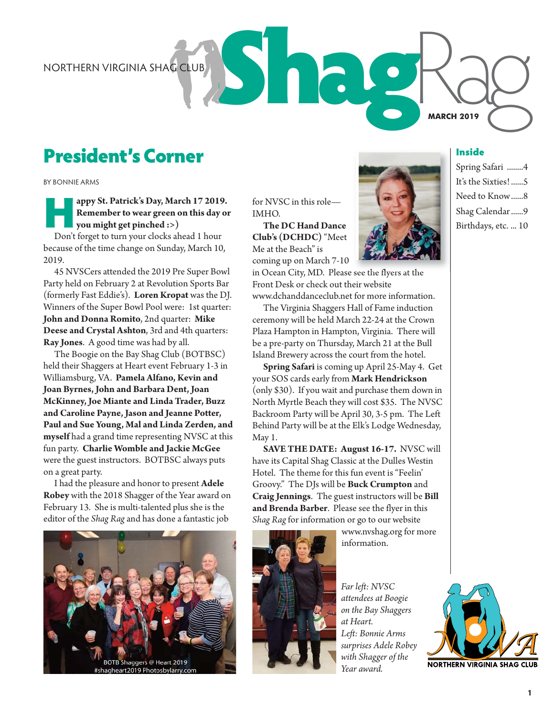# President's Corner

BY BONNIE ARMS

## **appy St. Patrick's Day, March 17 2019.**<br> **Remember to wear green on this day of you might get pinched :>)**<br>
Don't forget to turn your clocks ahead 1 hour **Remember to wear green on this day or you might get pinched :>)**

Don't forget to turn your clocks ahead 1 hour because of the time change on Sunday, March 10, 2019.

45 NVSCers attended the 2019 Pre Super Bowl Party held on February 2 at Revolution Sports Bar (formerly Fast Eddie's). **Loren Kropat** was the DJ. Winners of the Super Bowl Pool were: 1st quarter: **John and Donna Romito**, 2nd quarter: **Mike Deese and Crystal Ashton**, 3rd and 4th quarters: **Ray Jones**. A good time was had by all.

The Boogie on the Bay Shag Club (BOTBSC) held their Shaggers at Heart event February 1-3 in Williamsburg, VA. **Pamela Alfano, Kevin and Joan Byrnes, John and Barbara Dent, Joan McKinney, Joe Miante and Linda Trader, Buzz and Caroline Payne, Jason and Jeanne Potter, Paul and Sue Young, Mal and Linda Zerden, and myself** had a grand time representing NVSC at this fun party. **Charlie Womble and Jackie McGee** were the guest instructors. BOTBSC always puts on a great party.

I had the pleasure and honor to present **Adele Robey** with the 2018 Shagger of the Year award on February 13. She is multi-talented plus she is the editor of the *Shag Rag* and has done a fantastic job



for NVSC in this role— IMHO.

**The DC Hand Dance Club's (DCHDC)**"Meet Me at the Beach" is coming up on March 7-10



in Ocean City, MD. Please see the flyers at the Front Desk or check out their website

www.dchanddanceclub.net for more information. The Virginia Shaggers Hall of Fame induction ceremony will be held March 22-24 at the Crown Plaza Hampton in Hampton, Virginia. There will be a pre-party on Thursday, March 21 at the Bull Island Brewery across the court from the hotel.

**Spring Safari** is coming up April 25-May 4. Get your SOS cards early from **Mark Hendrickson** (only \$30). If you wait and purchase them down in North Myrtle Beach they will cost \$35. The NVSC Backroom Party will be April 30, 3-5 pm. The Left Behind Party will be at the Elk's Lodge Wednesday, May 1.

**SAVE THE DATE: August 16-17.** NVSC will have its Capital Shag Classic at the Dulles Westin Hotel. The theme for this fun event is "Feelin' Groovy." The DJs will be **Buck Crumpton** and **Craig Jennings**. The guest instructors will be **Bill and Brenda Barber**. Please see the flyer in this *Shag Rag*for information or go to our website



www.nvshag.org for more information.

*Far left: NVSC attendees at Boogie on the Bay Shaggers at Heart. Left: Bonnie Arms surprises Adele Robey with Shagger of the Year award.*



NORTHERN VIRGINIA SHAG CLUB<br> **President's Corner**<br>
BY BONNIE ARMS<br>
BY BONNIE ARMS<br>
Shage St. Patrick's Day, March 17 2019. For NVSC in this role—<br>
Shage St. Patrick's Day, March 17 2019. For NVSC in this role—<br>
Shage Color Spring Safari ........4 It's the Sixties! ......5 Need to Know ......8 Shag Calendar ......9

Birthdays, etc. ... 10

**MARCH 2019**

Inside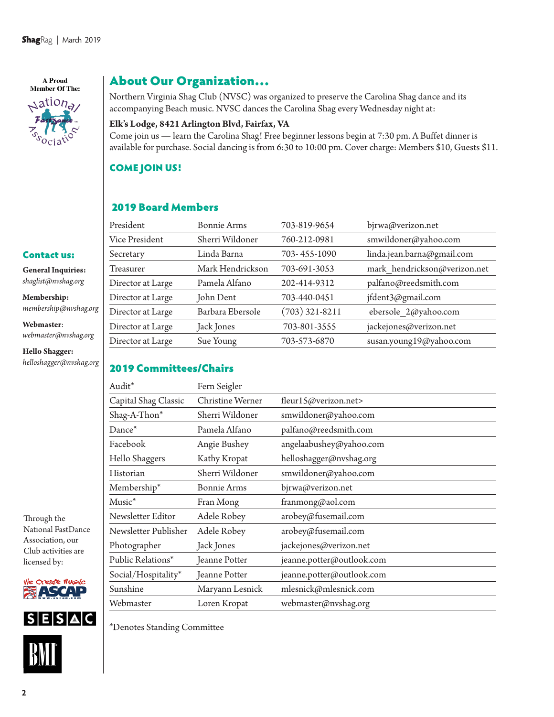A Proud **Member Of The:**  $\triangle$ ation<sub>a</sub>

Contact us: **General Inquiries:**  *shaglist@nvshag.org* **Membership:**

**Webmaster**:

**Hello Shagger:** *helloshagger@nvshag.org*

*membership@nvshag.org*

*webmaster@nvshag.org*

## About Our Organization…

Northern Virginia Shag Club (NVSC) was organized to preserve the Carolina Shag dance and its accompanying Beach music. NVSC dances the Carolina Shag every Wednesday night at:

#### **Elk's Lodge, 8421 Arlington Blvd, Fairfax, VA**

Come join us — learn the Carolina Shag! Free beginner lessons begin at 7:30 pm. A Buffet dinner is available for purchase. Social dancing is from 6:30 to 10:00 pm. Cover charge: Members \$10, Guests \$11.

#### COME JOIN US!

### 2019 Board Members

| President         | <b>Bonnie Arms</b> | 703-819-9654     | bjrwa@verizon.net            |
|-------------------|--------------------|------------------|------------------------------|
| Vice President    | Sherri Wildoner    | 760-212-0981     | smwildoner@yahoo.com         |
| Secretary         | Linda Barna        | 703-455-1090     | linda.jean.barna@gmail.com   |
| Treasurer         | Mark Hendrickson   | 703-691-3053     | mark hendrickson@verizon.net |
| Director at Large | Pamela Alfano      | 202-414-9312     | palfano@reedsmith.com        |
| Director at Large | John Dent          | 703-440-0451     | jfdent3@gmail.com            |
| Director at Large | Barbara Ebersole   | $(703)$ 321-8211 | ebersole 2@yahoo.com         |
| Director at Large | Jack Jones         | 703-801-3555     | jackejones@verizon.net       |
| Director at Large | Sue Young          | 703-573-6870     | susan.young19@yahoo.com      |
|                   |                    |                  |                              |

#### 2019 Committees/Chairs

| Audit*               | Fern Seigler       |                           |
|----------------------|--------------------|---------------------------|
| Capital Shag Classic | Christine Werner   | fleur15@verizon.net>      |
| Shag-A-Thon*         | Sherri Wildoner    | smwildoner@yahoo.com      |
| Dance*               | Pamela Alfano      | palfano@reedsmith.com     |
| Facebook             | Angie Bushey       | angelaabushey@yahoo.com   |
| Hello Shaggers       | Kathy Kropat       | helloshagger@nvshag.org   |
| Historian            | Sherri Wildoner    | smwildoner@yahoo.com      |
| Membership*          | <b>Bonnie Arms</b> | bjrwa@verizon.net         |
| Music <sup>*</sup>   | Fran Mong          | franmong@aol.com          |
| Newsletter Editor    | Adele Robey        | arobey@fusemail.com       |
| Newsletter Publisher | Adele Robey        | arobey@fusemail.com       |
| Photographer         | Jack Jones         | jackejones@verizon.net    |
| Public Relations*    | Jeanne Potter      | jeanne.potter@outlook.com |
| Social/Hospitality*  | Jeanne Potter      | jeanne.potter@outlook.com |
| Sunshine             | Maryann Lesnick    | mlesnick@mlesnick.com     |
| Webmaster            | Loren Kropat       | webmaster@nvshag.org      |

Through the National FastDance Association, our Club activities are licensed by:





\*Denotes Standing Committee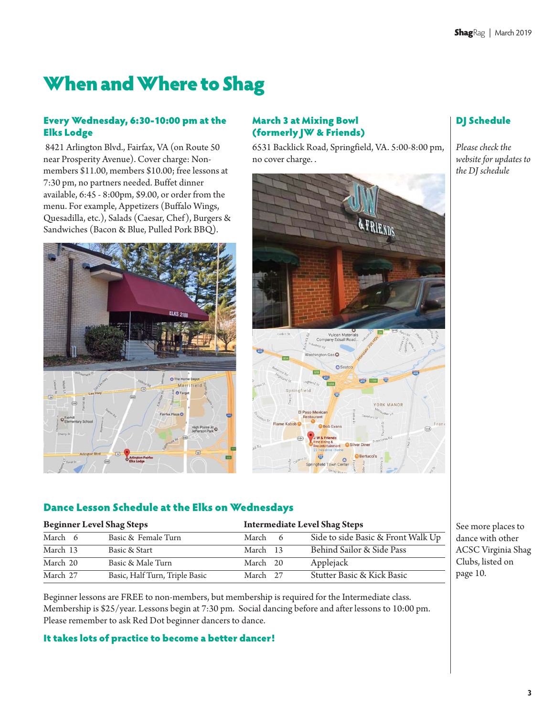# When and Where to Shag

#### Every Wednesday, 6:30-10:00 pm at the Elks Lodge

8421 Arlington Blvd., Fairfax, VA (on Route 50 near Prosperity Avenue). Cover charge: Nonmembers \$11.00, members \$10.00; free lessons at 7:30 pm, no partners needed. Buffet dinner available, 6:45 - 8:00pm, \$9.00, or order from the menu. For example, Appetizers (Buffalo Wings, Quesadilla, etc.), Salads (Caesar, Chef), Burgers & Sandwiches (Bacon & Blue, Pulled Pork BBQ).



#### March 3 at Mixing Bowl (formerly JW & Friends)

6531 Backlick Road, Springfield, VA. 5:00-8:00 pm, no cover charge. .



# DJ Schedule

*Please check the website for updates to the DJ schedule* 

#### Dance Lesson Schedule at the Elks on Wednesdays

| <b>Beginner Level Shag Steps</b> |  | <b>Intermediate Level Shag Steps</b> |          |  |                                    |
|----------------------------------|--|--------------------------------------|----------|--|------------------------------------|
| March 6                          |  | Basic & Female Turn                  | March 6  |  | Side to side Basic & Front Walk Up |
| March 13                         |  | Basic & Start                        | March 13 |  | Behind Sailor & Side Pass          |
| March 20                         |  | Basic & Male Turn                    | March 20 |  | Applejack                          |
| March 27                         |  | Basic, Half Turn, Triple Basic       | March 27 |  | Stutter Basic & Kick Basic         |

Beginner lessons are FREE to non-members, but membership is required for the Intermediate class. Membership is \$25/year. Lessons begin at 7:30 pm. Social dancing before and after lessons to 10:00 pm. Please remember to ask Red Dot beginner dancers to dance.

#### It takes lots of practice to become a better dancer!

See more places to dance with other ACSC Virginia Shag Clubs, listed on page 10.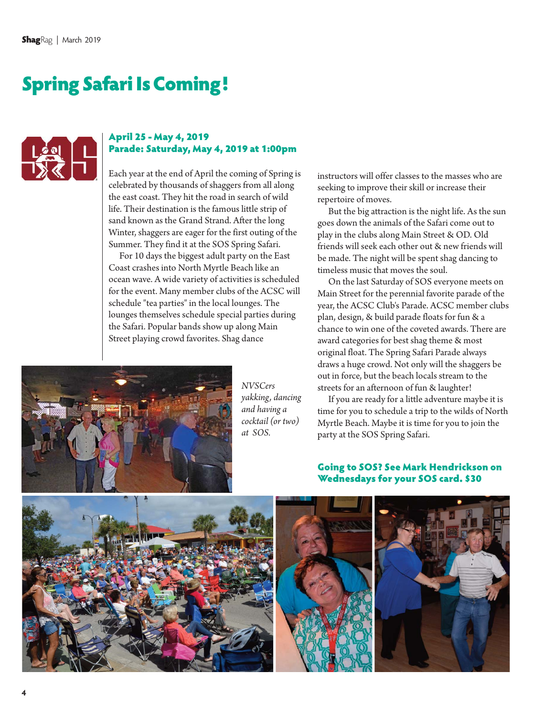# Spring Safari Is Coming!



#### April 25 - May 4, 2019 Parade: Saturday, May 4, 2019 at 1:00pm

Each year at the end of April the coming of Spring is celebrated by thousands of shaggers from all along the east coast. They hit the road in search of wild life. Their destination is the famous little strip of sand known as the Grand Strand. After the long Winter, shaggers are eager for the first outing of the Summer. They find it at the SOS Spring Safari.

For 10 days the biggest adult party on the East Coast crashes into North Myrtle Beach like an ocean wave. A wide variety of activities is scheduled for the event. Many member clubs of the ACSC will schedule "tea parties" in the local lounges. The lounges themselves schedule special parties during the Safari. Popular bands show up along Main Street playing crowd favorites. Shag dance



But the big attraction is the night life. As the sun goes down the animals of the Safari come out to play in the clubs along Main Street & OD. Old friends will seek each other out & new friends will be made. The night will be spent shag dancing to timeless music that moves the soul.

On the last Saturday of SOS everyone meets on Main Street for the perennial favorite parade of the year, the ACSC Club's Parade. ACSC member clubs plan, design, & build parade floats for fun & a chance to win one of the coveted awards. There are award categories for best shag theme & most original float. The Spring Safari Parade always draws a huge crowd. Not only will the shaggers be out in force, but the beach locals stream to the streets for an afternoon of fun & laughter!

If you are ready for a little adventure maybe it is time for you to schedule a trip to the wilds of North Myrtle Beach. Maybe it is time for you to join the party at the SOS Spring Safari.



*NVSCers yakking, dancing and having a cocktail (or two) at SOS.*

#### Going to SOS? See Mark Hendrickson on Wednesdays for your SOS card. \$30

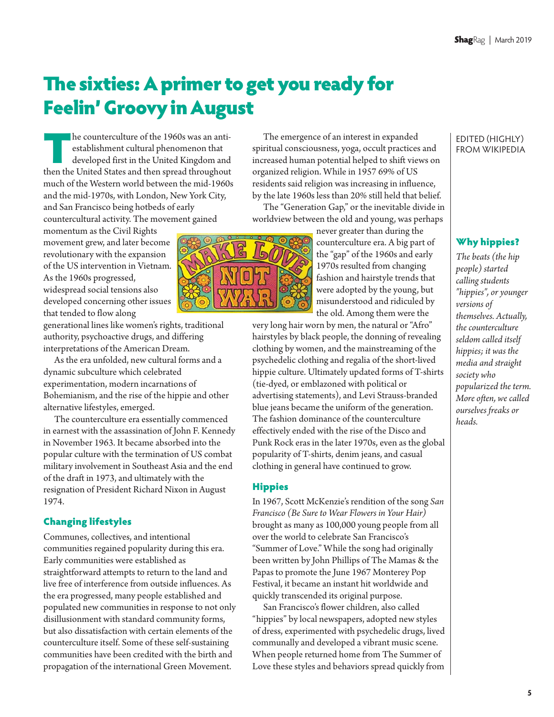# The sixties: A primer to get you ready for Feelin' Groovy in August

The counterculture of the 1960s was an anti-<br>establishment cultural phenomenon that<br>developed first in the United Kingdom and<br>then the United States and then spread throughout establishment cultural phenomenon that developed first in the United Kingdom and then the United States and then spread throughout much of the Western world between the mid-1960s and the mid-1970s, with London, New York City, and San Francisco being hotbeds of early countercultural activity. The movement gained

momentum as the Civil Rights movement grew, and later become revolutionary with the expansion of the US intervention in Vietnam. As the 1960s progressed, widespread social tensions also developed concerning other issues that tended to flow along

generational lines like women's rights, traditional authority, psychoactive drugs, and differing interpretations of the American Dream.

As the era unfolded, new cultural forms and a dynamic subculture which celebrated experimentation, modern incarnations of Bohemianism, and the rise of the hippie and other alternative lifestyles, emerged.

The counterculture era essentially commenced in earnest with the assassination of John F. Kennedy in November 1963. It became absorbed into the popular culture with the termination of US combat military involvement in Southeast Asia and the end of the draft in 1973, and ultimately with the resignation of President Richard Nixon in August 1974.

#### Changing lifestyles

Communes, collectives, and intentional communities regained popularity during this era. Early communities were established as straightforward attempts to return to the land and live free of interference from outside influences. As the era progressed, many people established and populated new communities in response to not only disillusionment with standard community forms, but also dissatisfaction with certain elements of the counterculture itself. Some of these self-sustaining communities have been credited with the birth and propagation of the international Green Movement.

The emergence of an interest in expanded spiritual consciousness, yoga, occult practices and increased human potential helped to shift views on organized religion. While in 1957 69% of US residents said religion was increasing in influence, by the late 1960s less than 20% still held that belief.

The "Generation Gap," or the inevitable divide in worldview between the old and young, was perhaps

> never greater than during the counterculture era. A big part of the "gap" of the 1960s and early 1970s resulted from changing fashion and hairstyle trends that were adopted by the young, but misunderstood and ridiculed by the old. Among them were the

very long hair worn by men, the natural or "Afro" hairstyles by black people, the donning of revealing clothing by women, and the mainstreaming of the psychedelic clothing and regalia of the short-lived hippie culture. Ultimately updated forms of T-shirts (tie-dyed, or emblazoned with political or advertising statements), and Levi Strauss-branded blue jeans became the uniform of the generation. The fashion dominance of the counterculture effectively ended with the rise of the Disco and Punk Rock eras in the later 1970s, even as the global popularity of T-shirts, denim jeans, and casual clothing in general have continued to grow.

#### Hippies

In 1967, Scott McKenzie's rendition of the song *San Francisco (Be Sure to Wear Flowers in Your Hair)* brought as many as 100,000 young people from all over the world to celebrate San Francisco's "Summer of Love." While the song had originally been written by John Phillips of The Mamas & the Papas to promote the June 1967 Monterey Pop Festival, it became an instant hit worldwide and quickly transcended its original purpose.

San Francisco's flower children, also called "hippies" by local newspapers, adopted new styles of dress, experimented with psychedelic drugs, lived communally and developed a vibrant music scene. When people returned home from The Summer of Love these styles and behaviors spread quickly from

#### EDITED (HIGHLY) FROM WIKIPEDIA

#### Why hippies?

*The beats (the hip people) started calling students "hippies", or younger versions of themselves. Actually, the counterculture seldom called itself hippies; it was the media and straight society who popularized the term. More often, we called ourselves freaks or heads.*

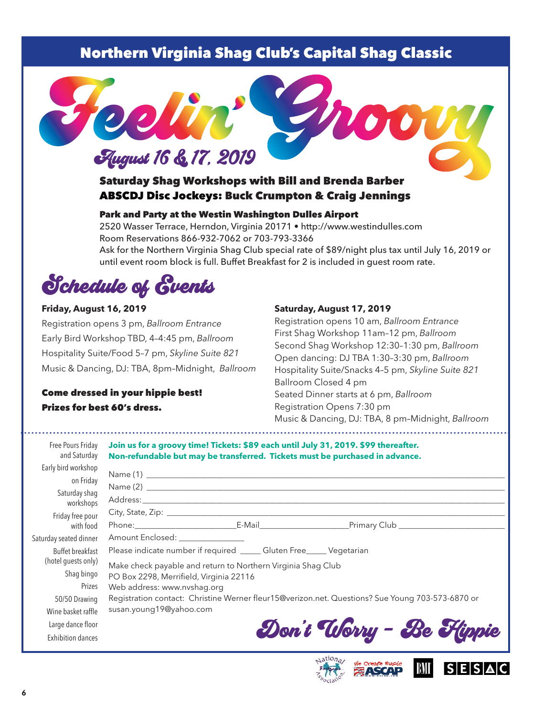# Northern Virginia Shag Club's Capital Shag Classic



### Saturday Shag Workshops with Bill and Brenda Barber ABSCDJ Disc Jockeys: Buck Crumpton & Craig Jennings

#### Park and Party at the Westin Washington Dulles Airport

2520 Wasser Terrace, Herndon, Virginia 20171 • http://www.westindulles.com Room Reservations 866-932-7062 or 703-793-3366 Ask for the Northern Virginia Shag Club special rate of \$89/night plus tax until July 16, 2019 or until event room block is full. Buffet Breakfast for 2 is included in guest room rate.

Schedule of Events

#### **Friday, August 16, 2019**

Registration opens 3 pm, *Ballroom Entrance* Early Bird Workshop TBD, 4–4:45 pm, *Ballroom* Hospitality Suite/Food 5–7 pm, *Skyline Suite 821* Music & Dancing, DJ: TBA, 8pm–Midnight, *Ballroom*

#### Come dressed in your hippie best! Prizes for best 60's dress.

#### **Saturday, August 17, 2019**

Registration opens 10 am, *Ballroom Entrance* First Shag Workshop 11am –12 pm, *Ballroom* Second Shag Workshop 12:30–1:30 pm, *Ballroom* Open dancing: DJ TBA 1:30–3:30 pm, *Ballroom* Hospitality Suite/Snacks 4–5 pm, *Skyline Suite 821* Ballroom Closed 4 pm Seated Dinner starts at 6 pm, *Ballroom* Registration Opens 7:30 pm Music & Dancing, DJ: TBA, 8 pm–Midnight, *Ballroom*

**SESAC** 

| Free Pours Friday<br>and Saturday                                                  | Join us for a groovy time! Tickets: \$89 each until July 31, 2019. \$99 thereafter.<br>Non-refundable but may be transferred. Tickets must be purchased in advance.                                                                                                                                                |                          |  |  |  |
|------------------------------------------------------------------------------------|--------------------------------------------------------------------------------------------------------------------------------------------------------------------------------------------------------------------------------------------------------------------------------------------------------------------|--------------------------|--|--|--|
| Early bird workshop<br>on Friday<br>Saturday shaq<br>workshops<br>Friday free pour |                                                                                                                                                                                                                                                                                                                    |                          |  |  |  |
| with food                                                                          |                                                                                                                                                                                                                                                                                                                    |                          |  |  |  |
| Saturday seated dinner                                                             | Amount Enclosed: _______________                                                                                                                                                                                                                                                                                   |                          |  |  |  |
| Buffet breakfast<br>(hotel guests only)<br>Shag bingo<br>Prizes<br>50/50 Drawing   | Please indicate number if required _____ Gluten Free_____ Vegetarian<br>Make check payable and return to Northern Virginia Shag Club<br>PO Box 2298, Merrifield, Virginia 22116<br>Web address: www.nvshag.org<br>Registration contact: Christine Werner fleur15@verizon.net. Questions? Sue Young 703-573-6870 or |                          |  |  |  |
| Wine basket raffle<br>Large dance floor<br><b>Exhibition dances</b>                | susan.young19@yahoo.com                                                                                                                                                                                                                                                                                            | Don't Worry - Be Flippie |  |  |  |

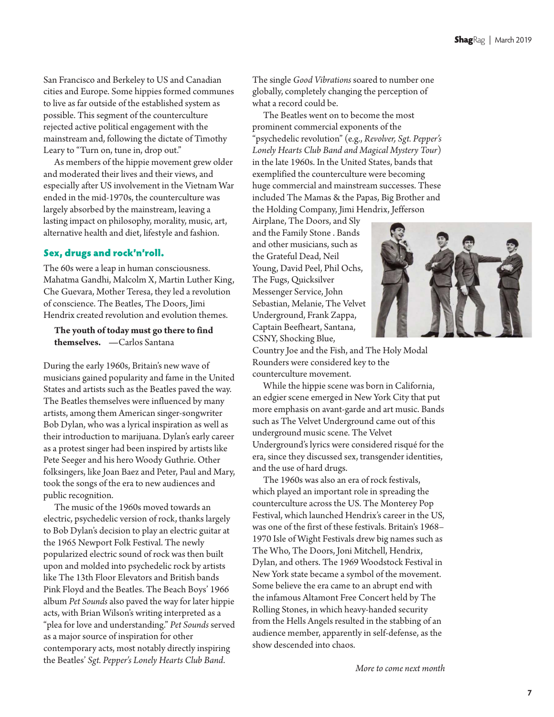San Francisco and Berkeley to US and Canadian cities and Europe. Some hippies formed communes to live as far outside of the established system as possible. This segment of the counterculture rejected active political engagement with the mainstream and, following the dictate of Timothy Leary to "Turn on, tune in, drop out."

As members of the hippie movement grew older and moderated their lives and their views, and especially after US involvement in the Vietnam War ended in the mid-1970s, the counterculture was largely absorbed by the mainstream, leaving a lasting impact on philosophy, morality, music, art, alternative health and diet, lifestyle and fashion.

#### Sex, drugs and rock'n'roll.

The 60s were a leap in human consciousness. Mahatma Gandhi, Malcolm X, Martin Luther King, Che Guevara, Mother Teresa, they led a revolution of conscience. The Beatles, The Doors, Jimi Hendrix created revolution and evolution themes.

**The youth of today must go there to find themselves. —**Carlos Santana

During the early 1960s, Britain's new wave of musicians gained popularity and fame in the United States and artists such as the Beatles paved the way. The Beatles themselves were influenced by many artists, among them American singer-songwriter Bob Dylan, who was a lyrical inspiration as well as their introduction to marijuana. Dylan's early career as a protest singer had been inspired by artists like Pete Seeger and his hero Woody Guthrie. Other folksingers, like Joan Baez and Peter, Paul and Mary, took the songs of the era to new audiences and public recognition.

The music of the 1960s moved towards an electric, psychedelic version of rock, thanks largely to Bob Dylan's decision to play an electric guitar at the 1965 Newport Folk Festival. The newly popularized electric sound of rock was then built upon and molded into psychedelic rock by artists like The 13th Floor Elevators and British bands Pink Floyd and the Beatles. The Beach Boys' 1966 album *Pet Sounds* also paved the way for later hippie acts, with Brian Wilson's writing interpreted as a "plea for love and understanding." *Pet Sounds* served as a major source of inspiration for other contemporary acts, most notably directly inspiring the Beatles' *Sgt. Pepper's Lonely Hearts Club Band*.

The single *Good Vibrations* soared to number one globally, completely changing the perception of what a record could be.

The Beatles went on to become the most prominent commercial exponents of the "psychedelic revolution" (e.g., *Revolver, Sgt. Pepper's Lonely Hearts Club Band and Magical Mystery Tour*) in the late 1960s. In the United States, bands that exemplified the counterculture were becoming huge commercial and mainstream successes. These included The Mamas & the Papas, Big Brother and the Holding Company, Jimi Hendrix, Jefferson

Airplane, The Doors, and Sly and the Family Stone . Bands and other musicians, such as the Grateful Dead, Neil Young, David Peel, Phil Ochs, The Fugs, Quicksilver Messenger Service, John Sebastian, Melanie, The Velvet Underground, Frank Zappa, Captain Beefheart, Santana, CSNY, Shocking Blue,



Country Joe and the Fish, and The Holy Modal Rounders were considered key to the counterculture movement.

While the hippie scene was born in California, an edgier scene emerged in New York City that put more emphasis on avant-garde and art music. Bands such as The Velvet Underground came out of this underground music scene. The Velvet Underground's lyrics were considered risqué for the era, since they discussed sex, transgender identities, and the use of hard drugs.

The 1960s was also an era of rock festivals, which played an important role in spreading the counterculture across the US. The Monterey Pop Festival, which launched Hendrix's career in the US, was one of the first of these festivals. Britain's 1968– 1970 Isle of Wight Festivals drew big names such as The Who, The Doors, Joni Mitchell, Hendrix, Dylan, and others. The 1969 Woodstock Festival in New York state became a symbol of the movement. Some believe the era came to an abrupt end with the infamous Altamont Free Concert held by The Rolling Stones, in which heavy-handed security from the Hells Angels resulted in the stabbing of an audience member, apparently in self-defense, as the show descended into chaos.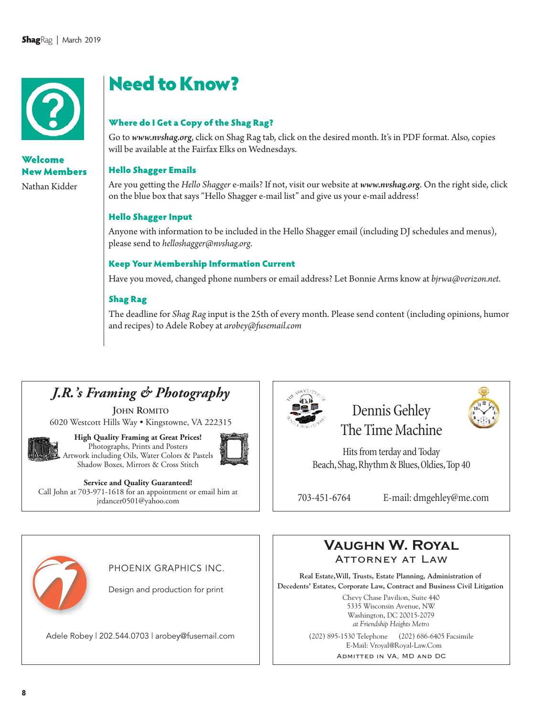

## Welcome New Members

Nathan Kidder

# Need to Know?

#### Where do I Get a Copy of the Shag Rag?

Go to *www.nvshag.org*, click on Shag Rag tab, click on the desired month. It's in PDF format. Also, copies will be available at the Fairfax Elks on Wednesdays.

#### Hello Shagger Emails

Are you getting the *Hello Shagger* e-mails? If not, visit our website at *www.nvshag.org*. On the right side, click on the blue box that says "Hello Shagger e-mail list" and give us your e-mail address!

#### Hello Shagger Input

Anyone with information to be included in the Hello Shagger email (including DJ schedules and menus), please send to *helloshagger@nvshag.org*.

#### Keep Your Membership Information Current

Have you moved, changed phone numbers or email address? Let Bonnie Arms know at *bjrwa@verizon.net*.

#### Shag Rag

The deadline for *Shag Rag*input is the 25th of every month. Please send content (including opinions, humor and recipes) to Adele Robey at *arobey@fusemail.com*

# *J.R.'s Framing & Photography*

**JOHN ROMITO** 6020 Westcott Hills Way • Kingstowne, VA 222315



**High Quality Framing at Great Prices!** Photographs, Prints and Posters Artwork including Oils, Water Colors & Pastels Shadow Boxes, Mirrors & Cross Stitch



**Service and Quality Guaranteed!** Call John at 703-971-1618 for an appointment or email him at jrdancer0501@yahoo.com



Dennis Gehley The Time Machine

Hits from terday and Today Beach, Shag, Rhythm & Blues, Oldies, Top 40

703-451-6764 E-mail: dmgehley@me.com



PHOENIX GRAPHICS INC.

Design and production for print

Adele Robey | 202.544.0703 | arobey@fusemail.com (202) 895-1530 Telephone (202) 686-6405 Facsimile



**Real Estate,Will, Trusts, Estate Planning, Administration of Decedents' Estates, Corporate Law, Contract and Business Civil Litigation**

> Chevy Chase Pavilion, Suite 440 5335 Wisconsin Avenue, NW Washington, DC 20015-2079 *at Friendship Heights Metro*

E-Mail: Vroyal@Royal-Law.Com

Admitted in VA, MD and DC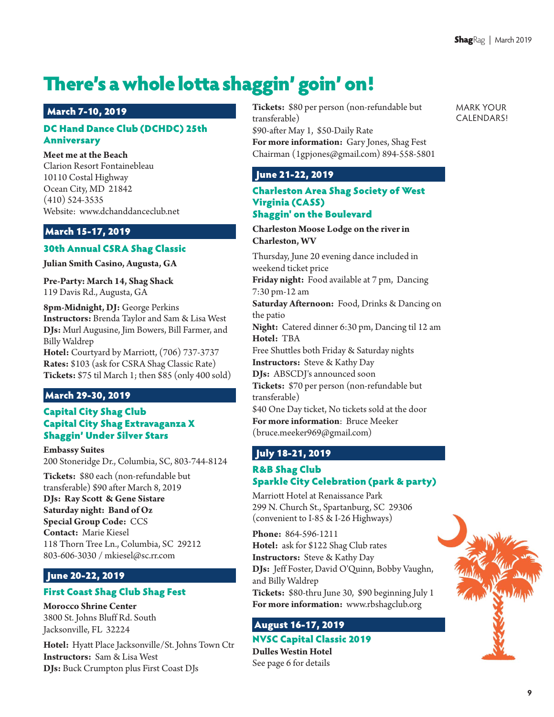# There's a whole lotta shaggin' goin' on!

#### March 7-10, 2019

#### DC Hand Dance Club (DCHDC) 25th Anniversary

#### **Meet me at the Beach**

Clarion Resort Fontainebleau 10110 Costal Highway Ocean City, MD 21842 (410) 524-3535 Website: www.dchanddanceclub.net

#### March 15-17, 2019

#### 30th Annual CSRA Shag Classic

**Julian Smith Casino, Augusta, GA**

**Pre-Party: March 14, Shag Shack** 119 Davis Rd., Augusta, GA

**8pm-Midnight, DJ:** George Perkins **Instructors:** Brenda Taylor and Sam & Lisa West **DJs:** Murl Augusine, Jim Bowers, Bill Farmer, and Billy Waldrep

**Hotel:** Courtyard by Marriott, (706) 737-3737 **Rates:** \$103 (ask for CSRA Shag Classic Rate) **Tickets:** \$75 til March 1; then \$85 (only 400 sold)

#### March 29-30, 2019

#### Capital City Shag Club Capital City Shag Extravaganza X Shaggin' Under Silver Stars

**Embassy Suites** 200 Stoneridge Dr., Columbia, SC, 803-744-8124

**Tickets:** \$80 each (non-refundable but transferable) \$90 after March 8, 2019

**DJs: Ray Scott & Gene Sistare Saturday night: Band of Oz Special Group Code:**  CCS **Contact:** Marie Kiesel 118 Thorn Tree Ln., Columbia, SC 29212 803-606-3030 / mkiesel@sc.rr.com

#### June 20-22, 2019

#### First Coast Shag Club Shag Fest

**Morocco Shrine Center** 3800 St. Johns Bluff Rd. South Jacksonville, FL 32224

**Hotel:** Hyatt Place Jacksonville/St. Johns Town Ctr **Instructors:** Sam & Lisa West **DJs:** Buck Crumpton plus First Coast DJs

**Tickets:** \$80 per person (non-refundable but transferable) \$90-after May 1, \$50-Daily Rate **For more information:** Gary Jones, Shag Fest Chairman (1gpjones@gmail.com) 894-558-5801 MARK YOUR CALENDARS!

#### June 21-22, 2019

#### Charleston Area Shag Society of West Virginia (CASS) Shaggin' on the Boulevard

#### **Charleston Moose Lodge on the river in Charleston, WV**

Thursday, June 20 evening dance included in weekend ticket price

**Friday night:** Food available at 7 pm, Dancing 7:30 pm-12 am

**Saturday Afternoon:** Food, Drinks & Dancing on the patio

**Night:** Catered dinner 6:30 pm, Dancing til 12 am **Hotel:** TBA

Free Shuttles both Friday & Saturday nights **Instructors:** Steve & Kathy Day

**DJs:** ABSCDJ's announced soon

**Tickets:** \$70 per person (non-refundable but transferable)

\$40 One Day ticket, No tickets sold at the door **For more information**: Bruce Meeker (bruce.meeker969@gmail.com)

### July 18-21, 2019

#### R&B Shag Club Sparkle City Celebration (park & party)

Marriott Hotel at Renaissance Park 299 N. Church St., Spartanburg, SC 29306 (convenient to I-85 & I-26 Highways)

**Phone:** 864-596-1211 **Hotel:** ask for \$122 Shag Club rates **Instructors:** Steve & Kathy Day **DJs:** Jeff Foster, David O'Quinn, Bobby Vaughn, and Billy Waldrep **Tickets:** \$80-thru June 30, \$90 beginning July 1 **For more information:** www.rbshagclub.org

### August 16-17, 2019

NVSC Capital Classic 2019 **Dulles Westin Hotel** See page 6 for details